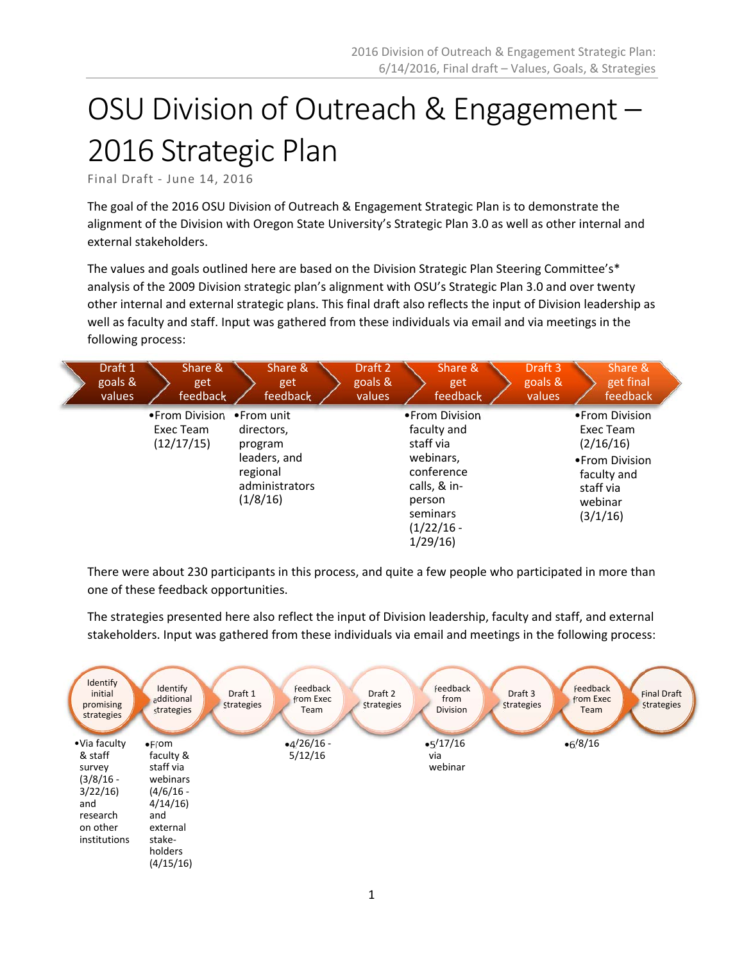# OSU Division of Outreach & Engagement – 2016 Strategic Plan

Final Draft ‐ June 14, 2016

The goal of the 2016 OSU Division of Outreach & Engagement Strategic Plan is to demonstrate the alignment of the Division with Oregon State University's Strategic Plan 3.0 as well as other internal and external stakeholders.

The values and goals outlined here are based on the Division Strategic Plan Steering Committee's\* analysis of the 2009 Division strategic plan's alignment with OSU's Strategic Plan 3.0 and over twenty other internal and external strategic plans. This final draft also reflects the input of Division leadership as well as faculty and staff. Input was gathered from these individuals via email and via meetings in the following process:

| Draft 1<br>goals &<br>values | Share &<br>get<br>feedback                             | Share &<br>get<br>feedback                                                      |  | Draft 2<br>goals &<br>values                                                                                                            |  | Share &<br>get<br>feedback |  | Draft 3<br>goals &<br>values                                                                                    |  | Share &<br>get final<br>feedback |  |
|------------------------------|--------------------------------------------------------|---------------------------------------------------------------------------------|--|-----------------------------------------------------------------------------------------------------------------------------------------|--|----------------------------|--|-----------------------------------------------------------------------------------------------------------------|--|----------------------------------|--|
|                              | • From Division • From unit<br>Exec Team<br>(12/17/15) | directors,<br>program<br>leaders, and<br>regional<br>administrators<br>(1/8/16) |  | • From Division<br>faculty and<br>staff via<br>webinars,<br>conference<br>calls, & in-<br>person<br>seminars<br>$(1/22/16 -$<br>1/29/16 |  |                            |  | • From Division<br>Exec Team<br>(2/16/16)<br>• From Division<br>faculty and<br>staff via<br>webinar<br>(3/1/16) |  |                                  |  |

There were about 230 participants in this process, and quite a few people who participated in more than one of these feedback opportunities.

The strategies presented here also reflect the input of Division leadership, faculty and staff, and external stakeholders. Input was gathered from these individuals via email and meetings in the following process:

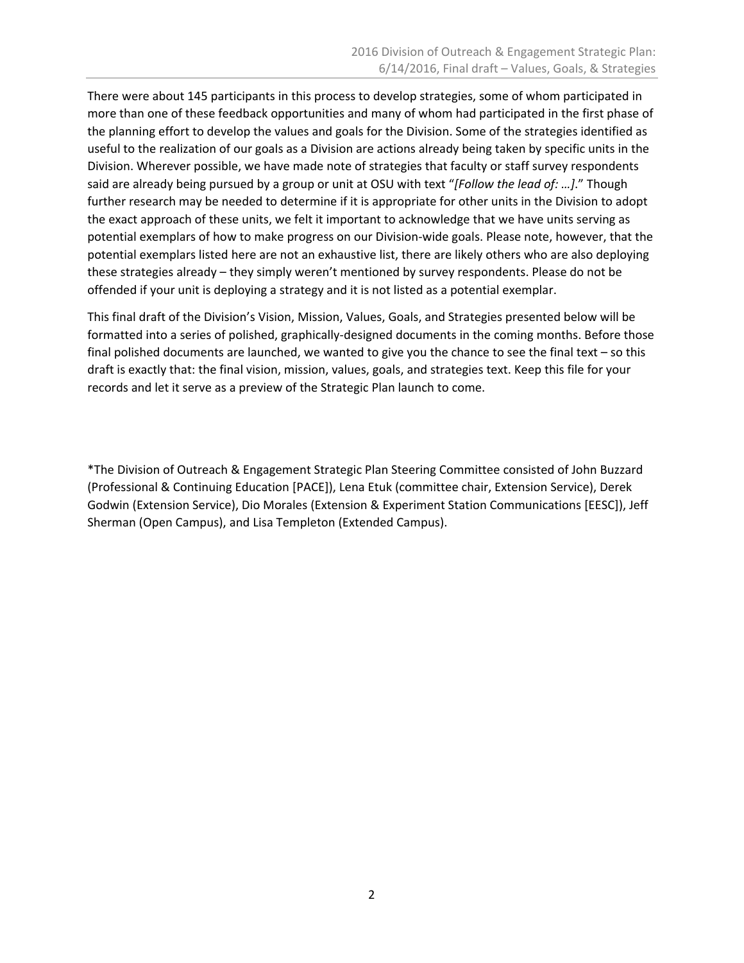There were about 145 participants in this process to develop strategies, some of whom participated in more than one of these feedback opportunities and many of whom had participated in the first phase of the planning effort to develop the values and goals for the Division. Some of the strategies identified as useful to the realization of our goals as a Division are actions already being taken by specific units in the Division. Wherever possible, we have made note of strategies that faculty or staff survey respondents said are already being pursued by a group or unit at OSU with text "*[Follow the lead of: …]*." Though further research may be needed to determine if it is appropriate for other units in the Division to adopt the exact approach of these units, we felt it important to acknowledge that we have units serving as potential exemplars of how to make progress on our Division-wide goals. Please note, however, that the potential exemplars listed here are not an exhaustive list, there are likely others who are also deploying these strategies already – they simply weren't mentioned by survey respondents. Please do not be offended if your unit is deploying a strategy and it is not listed as a potential exemplar.

This final draft of the Division's Vision, Mission, Values, Goals, and Strategies presented below will be formatted into a series of polished, graphically-designed documents in the coming months. Before those final polished documents are launched, we wanted to give you the chance to see the final text – so this draft is exactly that: the final vision, mission, values, goals, and strategies text. Keep this file for your records and let it serve as a preview of the Strategic Plan launch to come.

\*The Division of Outreach & Engagement Strategic Plan Steering Committee consisted of John Buzzard (Professional & Continuing Education [PACE]), Lena Etuk (committee chair, Extension Service), Derek Godwin (Extension Service), Dio Morales (Extension & Experiment Station Communications [EESC]), Jeff Sherman (Open Campus), and Lisa Templeton (Extended Campus).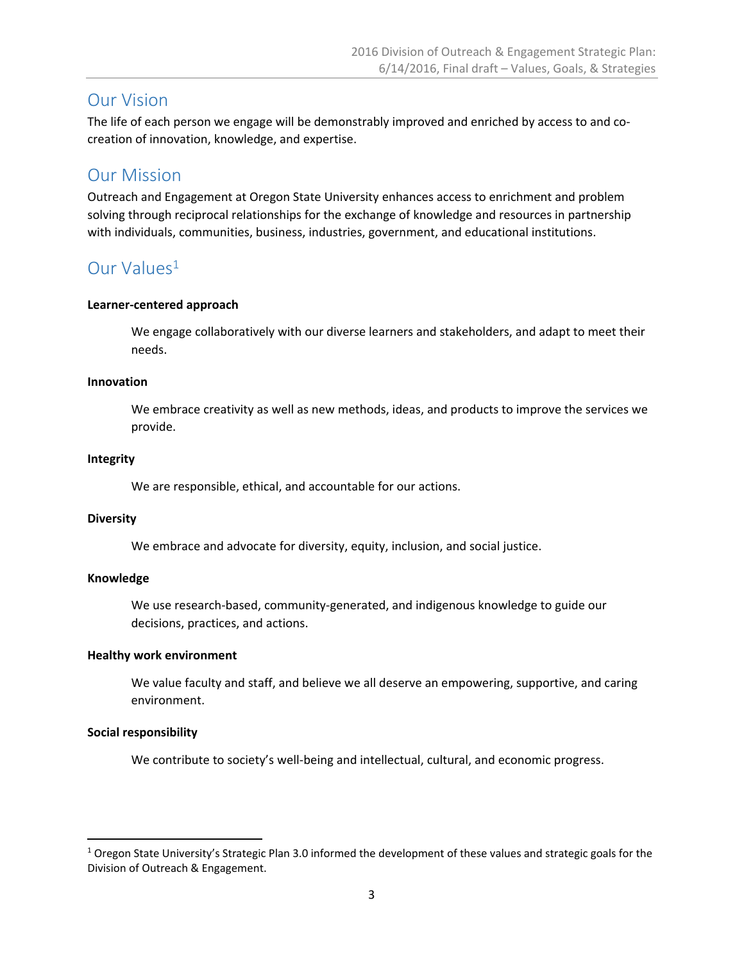### Our Vision

The life of each person we engage will be demonstrably improved and enriched by access to and co‐ creation of innovation, knowledge, and expertise.

## Our Mission

Outreach and Engagement at Oregon State University enhances access to enrichment and problem solving through reciprocal relationships for the exchange of knowledge and resources in partnership with individuals, communities, business, industries, government, and educational institutions.

## Our Values<sup>1</sup>

#### **Learner‐centered approach**

We engage collaboratively with our diverse learners and stakeholders, and adapt to meet their needs.

#### **Innovation**

We embrace creativity as well as new methods, ideas, and products to improve the services we provide.

#### **Integrity**

We are responsible, ethical, and accountable for our actions.

#### **Diversity**

We embrace and advocate for diversity, equity, inclusion, and social justice.

#### **Knowledge**

We use research-based, community-generated, and indigenous knowledge to guide our decisions, practices, and actions.

#### **Healthy work environment**

We value faculty and staff, and believe we all deserve an empowering, supportive, and caring environment.

#### **Social responsibility**

We contribute to society's well-being and intellectual, cultural, and economic progress.

 $1$  Oregon State University's Strategic Plan 3.0 informed the development of these values and strategic goals for the Division of Outreach & Engagement.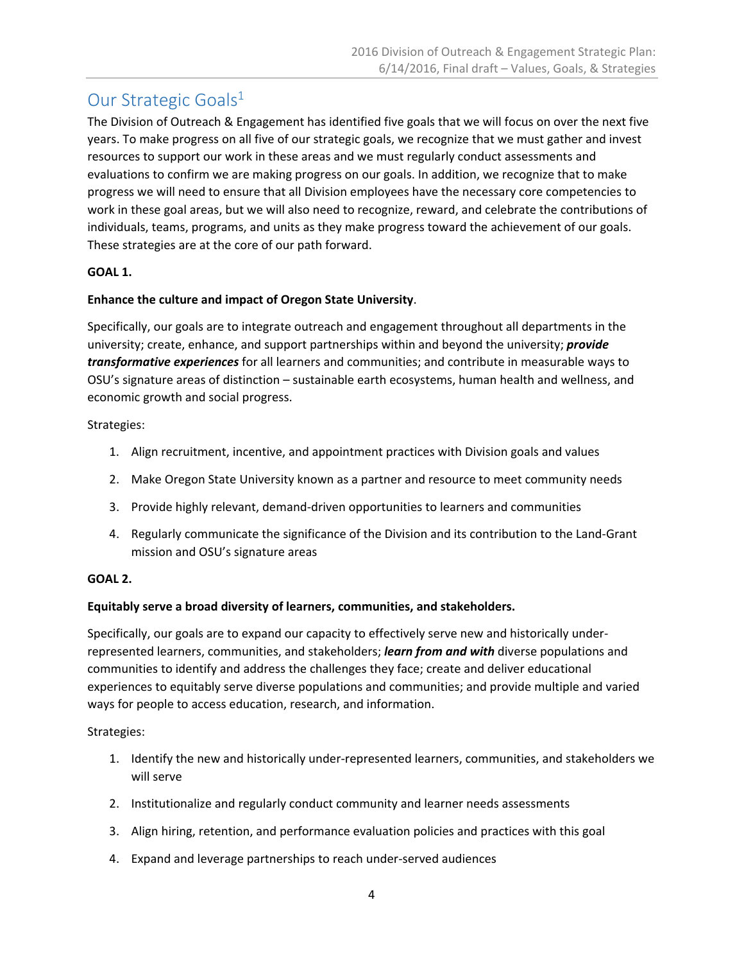## Our Strategic Goals<sup>1</sup>

The Division of Outreach & Engagement has identified five goals that we will focus on over the next five years. To make progress on all five of our strategic goals, we recognize that we must gather and invest resources to support our work in these areas and we must regularly conduct assessments and evaluations to confirm we are making progress on our goals. In addition, we recognize that to make progress we will need to ensure that all Division employees have the necessary core competencies to work in these goal areas, but we will also need to recognize, reward, and celebrate the contributions of individuals, teams, programs, and units as they make progress toward the achievement of our goals. These strategies are at the core of our path forward.

#### **GOAL 1.**

#### **Enhance the culture and impact of Oregon State University**.

Specifically, our goals are to integrate outreach and engagement throughout all departments in the university; create, enhance, and support partnerships within and beyond the university; *provide transformative experiences* for all learners and communities; and contribute in measurable ways to OSU's signature areas of distinction – sustainable earth ecosystems, human health and wellness, and economic growth and social progress.

Strategies:

- 1. Align recruitment, incentive, and appointment practices with Division goals and values
- 2. Make Oregon State University known as a partner and resource to meet community needs
- 3. Provide highly relevant, demand‐driven opportunities to learners and communities
- 4. Regularly communicate the significance of the Division and its contribution to the Land‐Grant mission and OSU's signature areas

#### **GOAL 2.**

#### **Equitably serve a broad diversity of learners, communities, and stakeholders.**

Specifically, our goals are to expand our capacity to effectively serve new and historically under‐ represented learners, communities, and stakeholders; *learn from and with* diverse populations and communities to identify and address the challenges they face; create and deliver educational experiences to equitably serve diverse populations and communities; and provide multiple and varied ways for people to access education, research, and information.

Strategies:

- 1. Identify the new and historically under‐represented learners, communities, and stakeholders we will serve
- 2. Institutionalize and regularly conduct community and learner needs assessments
- 3. Align hiring, retention, and performance evaluation policies and practices with this goal
- 4. Expand and leverage partnerships to reach under‐served audiences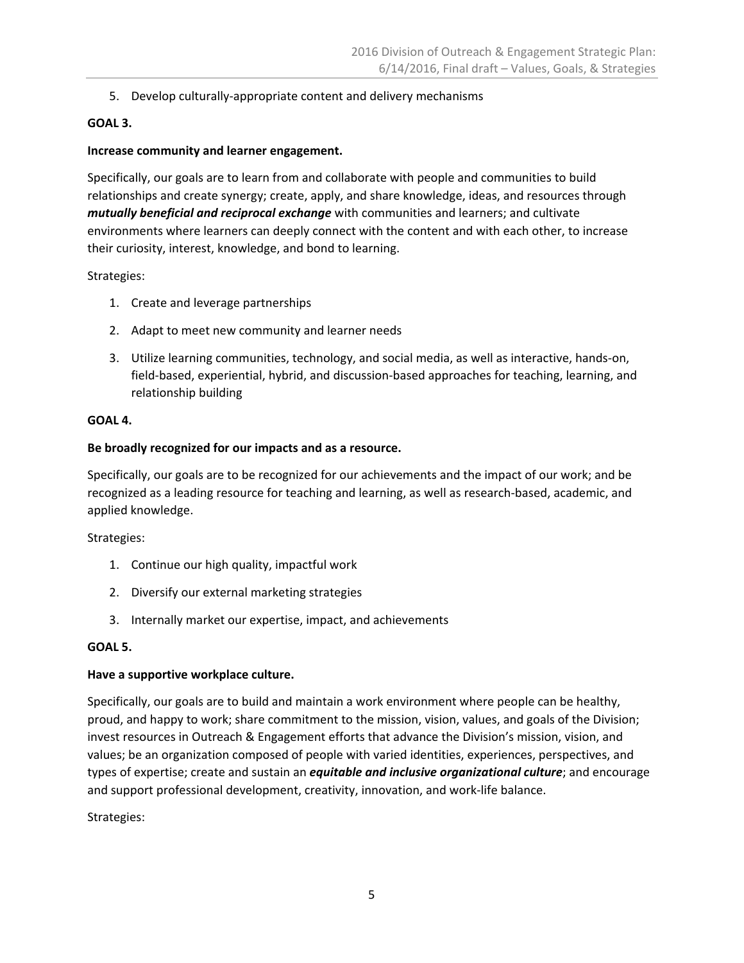5. Develop culturally-appropriate content and delivery mechanisms

#### **GOAL 3.**

#### **Increase community and learner engagement.**

Specifically, our goals are to learn from and collaborate with people and communities to build relationships and create synergy; create, apply, and share knowledge, ideas, and resources through *mutually beneficial and reciprocal exchange* with communities and learners; and cultivate environments where learners can deeply connect with the content and with each other, to increase their curiosity, interest, knowledge, and bond to learning.

#### Strategies:

- 1. Create and leverage partnerships
- 2. Adapt to meet new community and learner needs
- 3. Utilize learning communities, technology, and social media, as well as interactive, hands‐on, field-based, experiential, hybrid, and discussion-based approaches for teaching, learning, and relationship building

#### **GOAL 4.**

#### **Be broadly recognized for our impacts and as a resource.**

Specifically, our goals are to be recognized for our achievements and the impact of our work; and be recognized as a leading resource for teaching and learning, as well as research‐based, academic, and applied knowledge.

Strategies:

- 1. Continue our high quality, impactful work
- 2. Diversify our external marketing strategies
- 3. Internally market our expertise, impact, and achievements

#### **GOAL 5.**

#### **Have a supportive workplace culture.**

Specifically, our goals are to build and maintain a work environment where people can be healthy, proud, and happy to work; share commitment to the mission, vision, values, and goals of the Division; invest resources in Outreach & Engagement efforts that advance the Division's mission, vision, and values; be an organization composed of people with varied identities, experiences, perspectives, and types of expertise; create and sustain an *equitable and inclusive organizational culture*; and encourage and support professional development, creativity, innovation, and work‐life balance.

#### Strategies: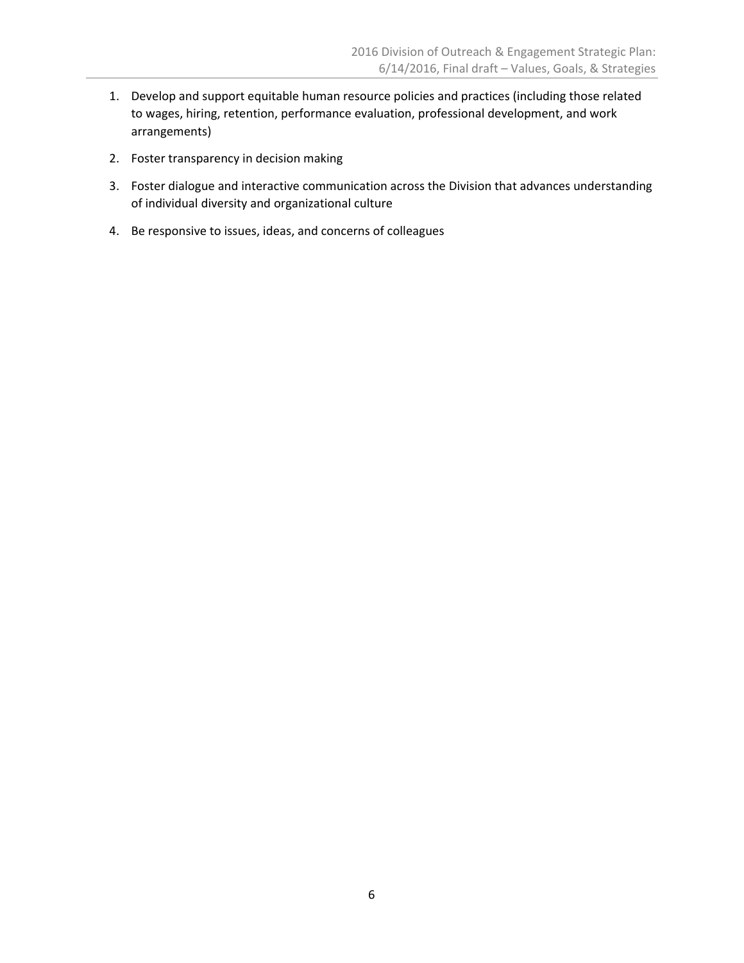- 1. Develop and support equitable human resource policies and practices (including those related to wages, hiring, retention, performance evaluation, professional development, and work arrangements)
- 2. Foster transparency in decision making
- 3. Foster dialogue and interactive communication across the Division that advances understanding of individual diversity and organizational culture
- 4. Be responsive to issues, ideas, and concerns of colleagues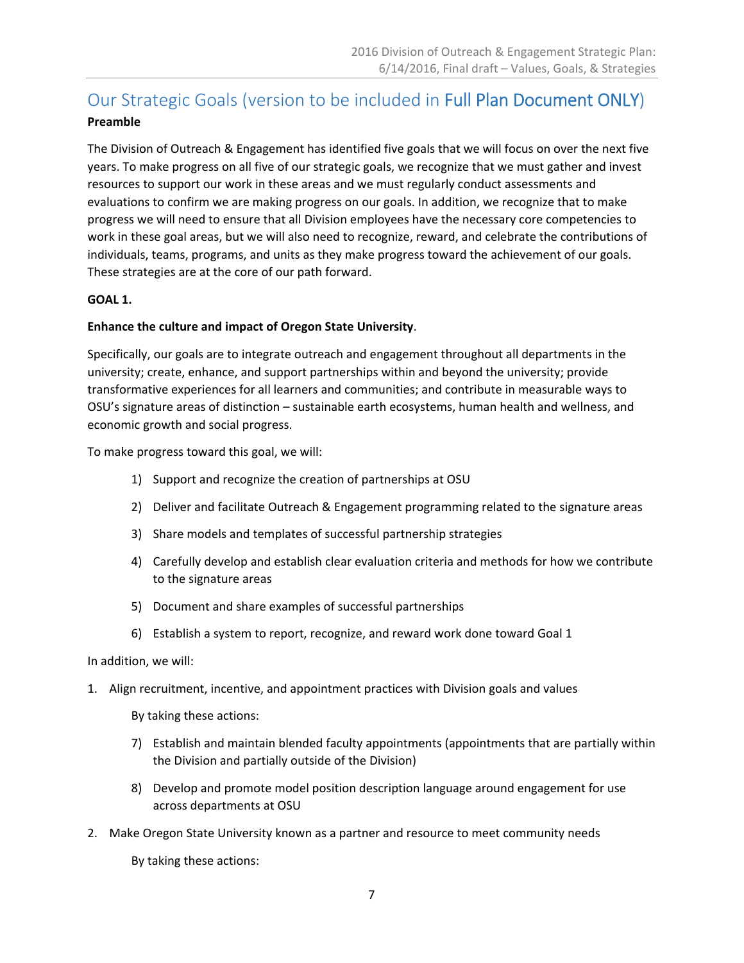## Our Strategic Goals (version to be included in Full Plan Document ONLY)

#### **Preamble**

The Division of Outreach & Engagement has identified five goals that we will focus on over the next five years. To make progress on all five of our strategic goals, we recognize that we must gather and invest resources to support our work in these areas and we must regularly conduct assessments and evaluations to confirm we are making progress on our goals. In addition, we recognize that to make progress we will need to ensure that all Division employees have the necessary core competencies to work in these goal areas, but we will also need to recognize, reward, and celebrate the contributions of individuals, teams, programs, and units as they make progress toward the achievement of our goals. These strategies are at the core of our path forward.

#### **GOAL 1.**

#### **Enhance the culture and impact of Oregon State University**.

Specifically, our goals are to integrate outreach and engagement throughout all departments in the university; create, enhance, and support partnerships within and beyond the university; provide transformative experiences for all learners and communities; and contribute in measurable ways to OSU's signature areas of distinction – sustainable earth ecosystems, human health and wellness, and economic growth and social progress.

To make progress toward this goal, we will:

- 1) Support and recognize the creation of partnerships at OSU
- 2) Deliver and facilitate Outreach & Engagement programming related to the signature areas
- 3) Share models and templates of successful partnership strategies
- 4) Carefully develop and establish clear evaluation criteria and methods for how we contribute to the signature areas
- 5) Document and share examples of successful partnerships
- 6) Establish a system to report, recognize, and reward work done toward Goal 1

#### In addition, we will:

1. Align recruitment, incentive, and appointment practices with Division goals and values

By taking these actions:

- 7) Establish and maintain blended faculty appointments (appointments that are partially within the Division and partially outside of the Division)
- 8) Develop and promote model position description language around engagement for use across departments at OSU
- 2. Make Oregon State University known as a partner and resource to meet community needs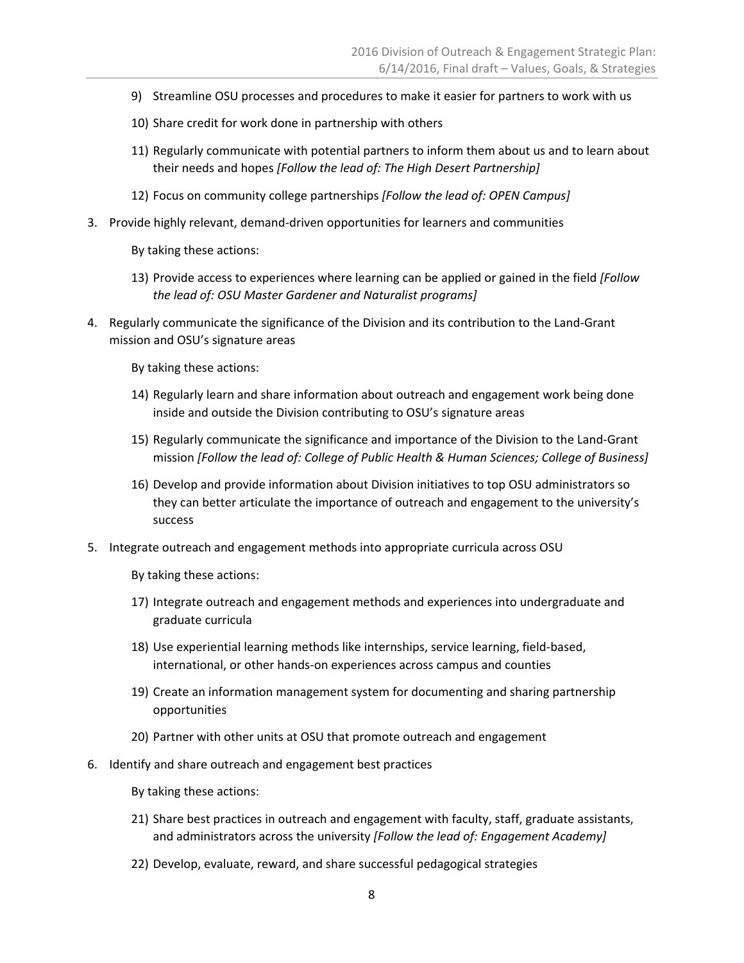- 9) Streamline OSU processes and procedures to make it easier for partners to work with us
- 10) Share credit for work done in partnership with others
- 11) Regularly communicate with potential partners to inform them about us and to learn about their needs and hopes *[Follow the lead of: The High Desert Partnership]*
- 12) Focus on community college partnerships *[Follow the lead of: OPEN Campus]*
- 3. Provide highly relevant, demand‐driven opportunities for learners and communities

- 13) Provide access to experiences where learning can be applied or gained in the field *[Follow the lead of: OSU Master Gardener and Naturalist programs]*
- 4. Regularly communicate the significance of the Division and its contribution to the Land‐Grant mission and OSU's signature areas

By taking these actions:

- 14) Regularly learn and share information about outreach and engagement work being done inside and outside the Division contributing to OSU's signature areas
- 15) Regularly communicate the significance and importance of the Division to the Land‐Grant mission *[Follow the lead of: College of Public Health & Human Sciences; College of Business]*
- 16) Develop and provide information about Division initiatives to top OSU administrators so they can better articulate the importance of outreach and engagement to the university's success
- 5. Integrate outreach and engagement methods into appropriate curricula across OSU

- 17) Integrate outreach and engagement methods and experiences into undergraduate and graduate curricula
- 18) Use experiential learning methods like internships, service learning, field‐based, international, or other hands‐on experiences across campus and counties
- 19) Create an information management system for documenting and sharing partnership opportunities
- 20) Partner with other units at OSU that promote outreach and engagement
- 6. Identify and share outreach and engagement best practices
	- By taking these actions:
	- 21) Share best practices in outreach and engagement with faculty, staff, graduate assistants, and administrators across the university *[Follow the lead of: Engagement Academy]*
	- 22) Develop, evaluate, reward, and share successful pedagogical strategies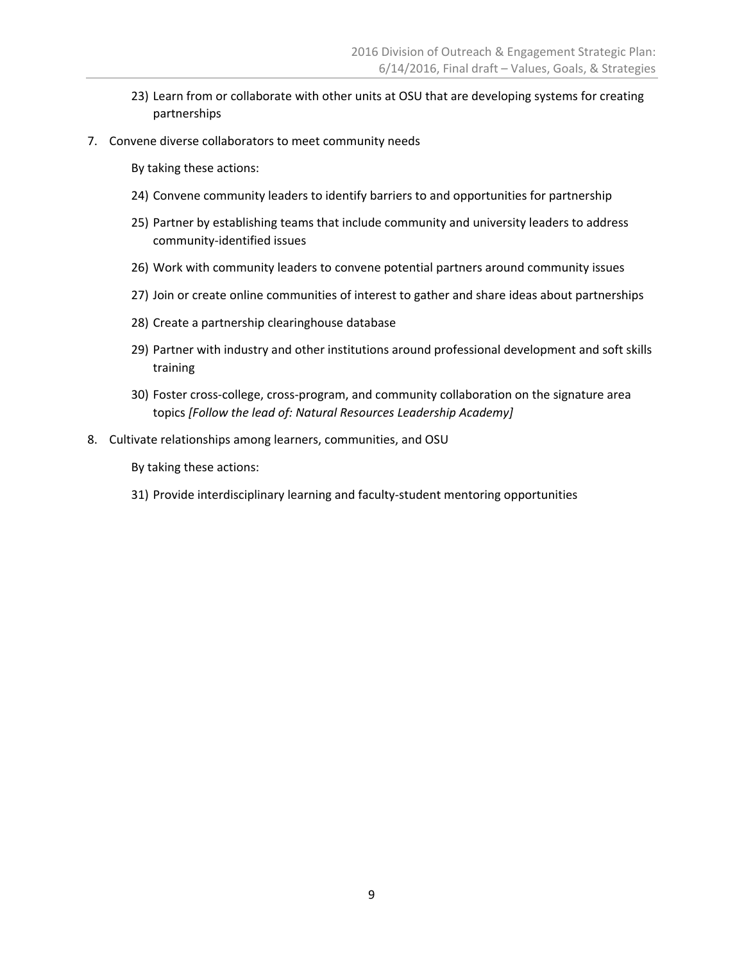- 23) Learn from or collaborate with other units at OSU that are developing systems for creating partnerships
- 7. Convene diverse collaborators to meet community needs

- 24) Convene community leaders to identify barriers to and opportunities for partnership
- 25) Partner by establishing teams that include community and university leaders to address community‐identified issues
- 26) Work with community leaders to convene potential partners around community issues
- 27) Join or create online communities of interest to gather and share ideas about partnerships
- 28) Create a partnership clearinghouse database
- 29) Partner with industry and other institutions around professional development and soft skills training
- 30) Foster cross-college, cross-program, and community collaboration on the signature area topics *[Follow the lead of: Natural Resources Leadership Academy]*
- 8. Cultivate relationships among learners, communities, and OSU

By taking these actions:

31) Provide interdisciplinary learning and faculty-student mentoring opportunities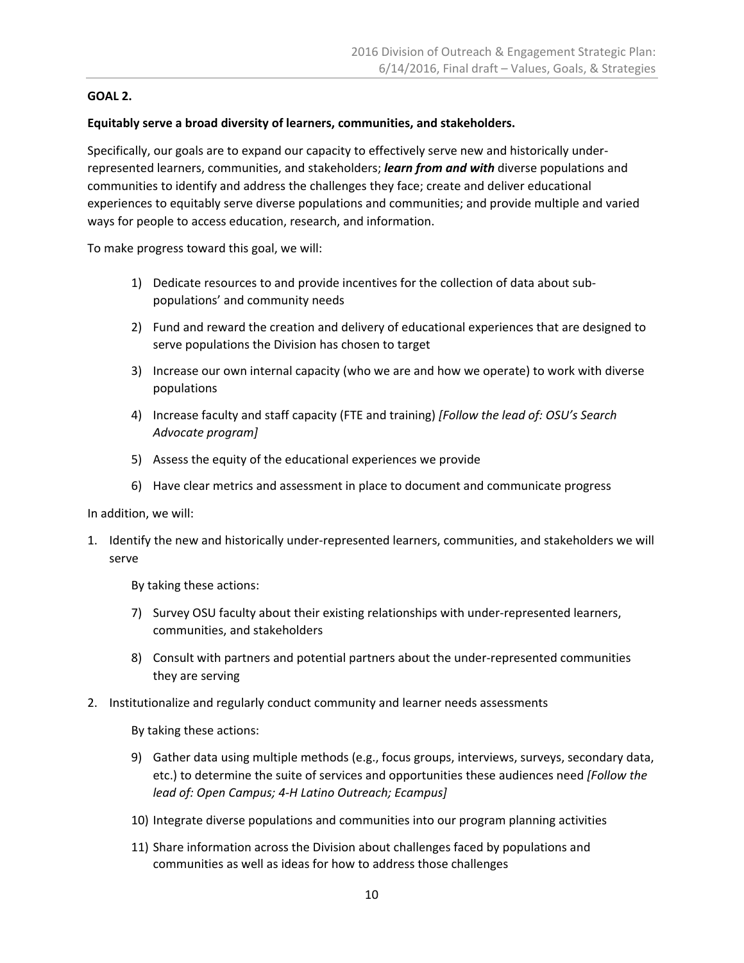#### **GOAL 2.**

#### **Equitably serve a broad diversity of learners, communities, and stakeholders.**

Specifically, our goals are to expand our capacity to effectively serve new and historically under‐ represented learners, communities, and stakeholders; *learn from and with* diverse populations and communities to identify and address the challenges they face; create and deliver educational experiences to equitably serve diverse populations and communities; and provide multiple and varied ways for people to access education, research, and information.

To make progress toward this goal, we will:

- 1) Dedicate resources to and provide incentives for the collection of data about sub‐ populations' and community needs
- 2) Fund and reward the creation and delivery of educational experiences that are designed to serve populations the Division has chosen to target
- 3) Increase our own internal capacity (who we are and how we operate) to work with diverse populations
- 4) Increase faculty and staff capacity (FTE and training) *[Follow the lead of: OSU's Search Advocate program]*
- 5) Assess the equity of the educational experiences we provide
- 6) Have clear metrics and assessment in place to document and communicate progress

In addition, we will:

1. Identify the new and historically under‐represented learners, communities, and stakeholders we will serve

By taking these actions:

- 7) Survey OSU faculty about their existing relationships with under-represented learners, communities, and stakeholders
- 8) Consult with partners and potential partners about the under-represented communities they are serving
- 2. Institutionalize and regularly conduct community and learner needs assessments

- 9) Gather data using multiple methods (e.g., focus groups, interviews, surveys, secondary data, etc.) to determine the suite of services and opportunities these audiences need *[Follow the lead of: Open Campus; 4‐H Latino Outreach; Ecampus]*
- 10) Integrate diverse populations and communities into our program planning activities
- 11) Share information across the Division about challenges faced by populations and communities as well as ideas for how to address those challenges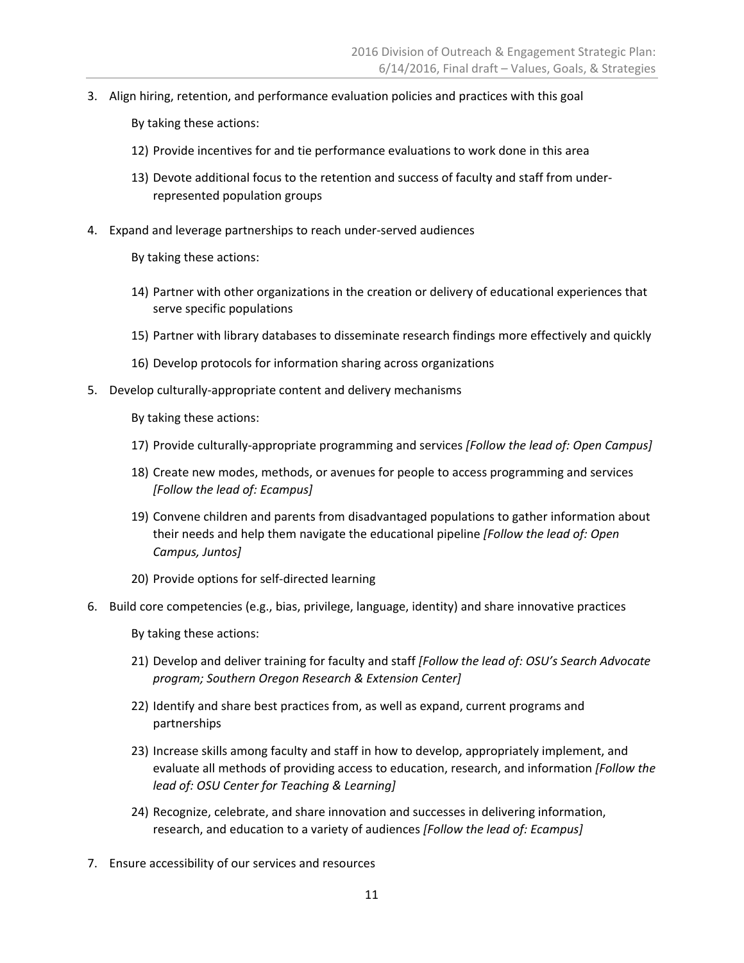3. Align hiring, retention, and performance evaluation policies and practices with this goal

By taking these actions:

- 12) Provide incentives for and tie performance evaluations to work done in this area
- 13) Devote additional focus to the retention and success of faculty and staff from under‐ represented population groups
- 4. Expand and leverage partnerships to reach under‐served audiences
	- By taking these actions:
	- 14) Partner with other organizations in the creation or delivery of educational experiences that serve specific populations
	- 15) Partner with library databases to disseminate research findings more effectively and quickly
	- 16) Develop protocols for information sharing across organizations
- 5. Develop culturally-appropriate content and delivery mechanisms

By taking these actions:

- 17) Provide culturally‐appropriate programming and services *[Follow the lead of: Open Campus]*
- 18) Create new modes, methods, or avenues for people to access programming and services *[Follow the lead of: Ecampus]*
- 19) Convene children and parents from disadvantaged populations to gather information about their needs and help them navigate the educational pipeline *[Follow the lead of: Open Campus, Juntos]*
- 20) Provide options for self‐directed learning
- 6. Build core competencies (e.g., bias, privilege, language, identity) and share innovative practices

- 21) Develop and deliver training for faculty and staff *[Follow the lead of: OSU's Search Advocate program; Southern Oregon Research & Extension Center]*
- 22) Identify and share best practices from, as well as expand, current programs and partnerships
- 23) Increase skills among faculty and staff in how to develop, appropriately implement, and evaluate all methods of providing access to education, research, and information *[Follow the lead of: OSU Center for Teaching & Learning]*
- 24) Recognize, celebrate, and share innovation and successes in delivering information, research, and education to a variety of audiences *[Follow the lead of: Ecampus]*
- 7. Ensure accessibility of our services and resources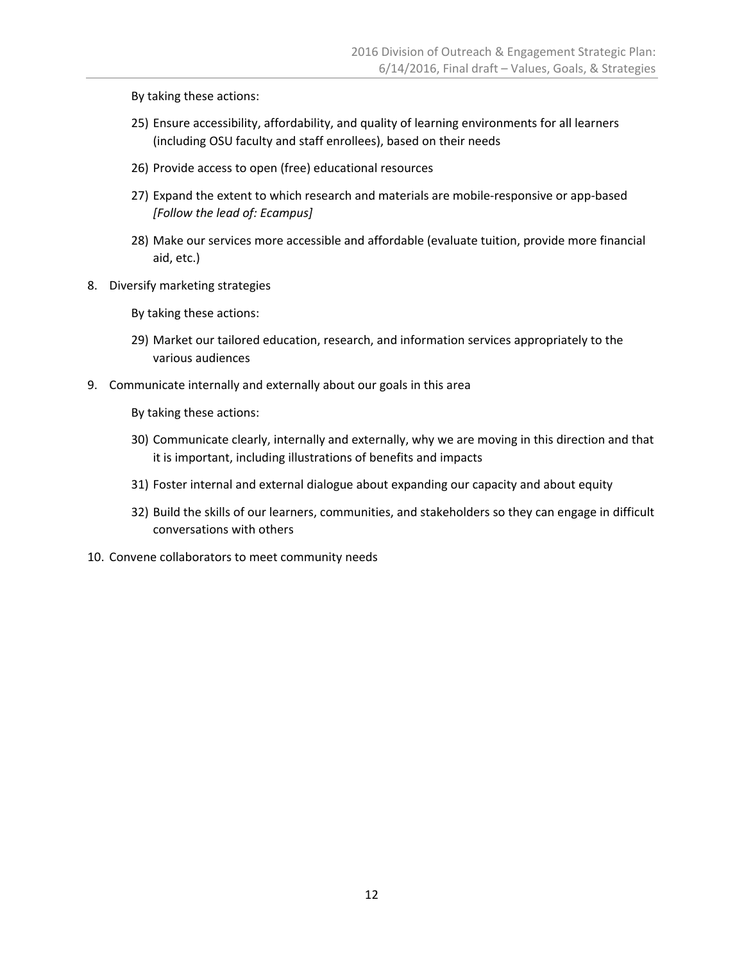- 25) Ensure accessibility, affordability, and quality of learning environments for all learners (including OSU faculty and staff enrollees), based on their needs
- 26) Provide access to open (free) educational resources
- 27) Expand the extent to which research and materials are mobile-responsive or app-based *[Follow the lead of: Ecampus]*
- 28) Make our services more accessible and affordable (evaluate tuition, provide more financial aid, etc.)
- 8. Diversify marketing strategies

By taking these actions:

- 29) Market our tailored education, research, and information services appropriately to the various audiences
- 9. Communicate internally and externally about our goals in this area

- 30) Communicate clearly, internally and externally, why we are moving in this direction and that it is important, including illustrations of benefits and impacts
- 31) Foster internal and external dialogue about expanding our capacity and about equity
- 32) Build the skills of our learners, communities, and stakeholders so they can engage in difficult conversations with others
- 10. Convene collaborators to meet community needs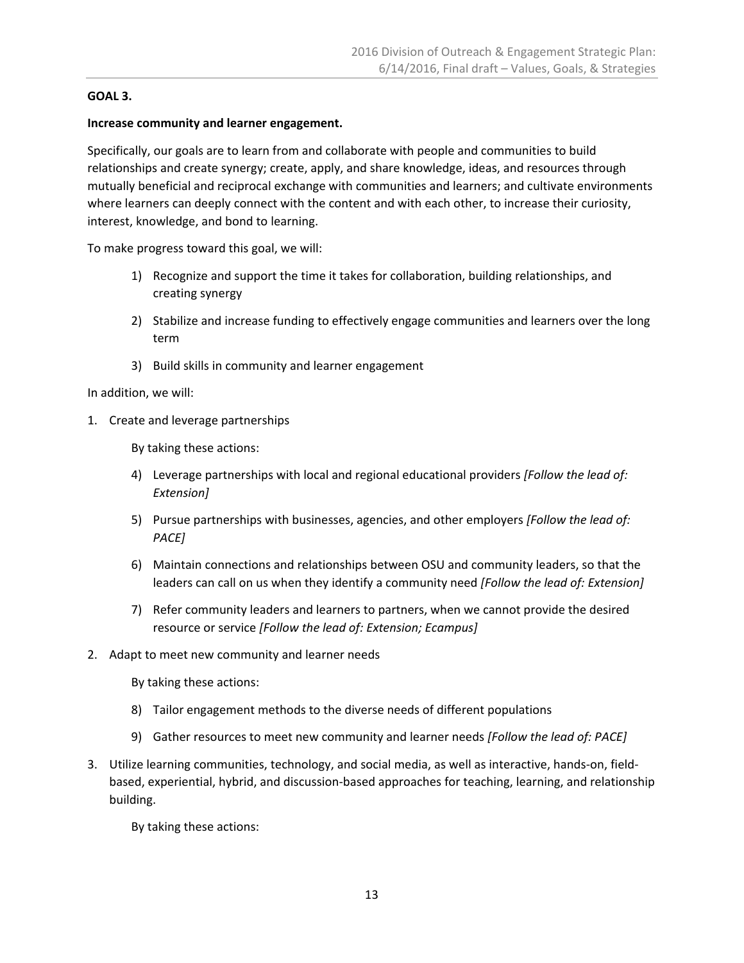#### **GOAL 3.**

#### **Increase community and learner engagement.**

Specifically, our goals are to learn from and collaborate with people and communities to build relationships and create synergy; create, apply, and share knowledge, ideas, and resources through mutually beneficial and reciprocal exchange with communities and learners; and cultivate environments where learners can deeply connect with the content and with each other, to increase their curiosity, interest, knowledge, and bond to learning.

To make progress toward this goal, we will:

- 1) Recognize and support the time it takes for collaboration, building relationships, and creating synergy
- 2) Stabilize and increase funding to effectively engage communities and learners over the long term
- 3) Build skills in community and learner engagement

In addition, we will:

1. Create and leverage partnerships

By taking these actions:

- 4) Leverage partnerships with local and regional educational providers *[Follow the lead of: Extension]*
- 5) Pursue partnerships with businesses, agencies, and other employers *[Follow the lead of: PACE]*
- 6) Maintain connections and relationships between OSU and community leaders, so that the leaders can call on us when they identify a community need *[Follow the lead of: Extension]*
- 7) Refer community leaders and learners to partners, when we cannot provide the desired resource or service *[Follow the lead of: Extension; Ecampus]*
- 2. Adapt to meet new community and learner needs

By taking these actions:

- 8) Tailor engagement methods to the diverse needs of different populations
- 9) Gather resources to meet new community and learner needs *[Follow the lead of: PACE]*
- 3. Utilize learning communities, technology, and social media, as well as interactive, hands‐on, field‐ based, experiential, hybrid, and discussion‐based approaches for teaching, learning, and relationship building.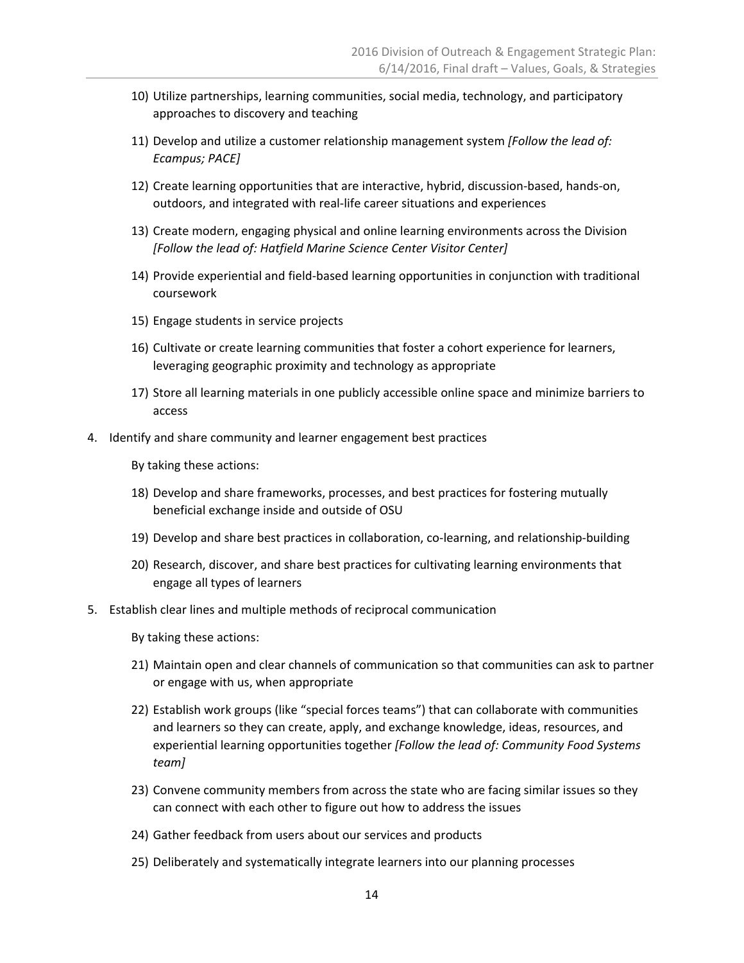- 10) Utilize partnerships, learning communities, social media, technology, and participatory approaches to discovery and teaching
- 11) Develop and utilize a customer relationship management system *[Follow the lead of: Ecampus; PACE]*
- 12) Create learning opportunities that are interactive, hybrid, discussion-based, hands-on, outdoors, and integrated with real‐life career situations and experiences
- 13) Create modern, engaging physical and online learning environments across the Division *[Follow the lead of: Hatfield Marine Science Center Visitor Center]*
- 14) Provide experiential and field‐based learning opportunities in conjunction with traditional coursework
- 15) Engage students in service projects
- 16) Cultivate or create learning communities that foster a cohort experience for learners, leveraging geographic proximity and technology as appropriate
- 17) Store all learning materials in one publicly accessible online space and minimize barriers to access
- 4. Identify and share community and learner engagement best practices

- 18) Develop and share frameworks, processes, and best practices for fostering mutually beneficial exchange inside and outside of OSU
- 19) Develop and share best practices in collaboration, co-learning, and relationship-building
- 20) Research, discover, and share best practices for cultivating learning environments that engage all types of learners
- 5. Establish clear lines and multiple methods of reciprocal communication

- 21) Maintain open and clear channels of communication so that communities can ask to partner or engage with us, when appropriate
- 22) Establish work groups (like "special forces teams") that can collaborate with communities and learners so they can create, apply, and exchange knowledge, ideas, resources, and experiential learning opportunities together *[Follow the lead of: Community Food Systems team]*
- 23) Convene community members from across the state who are facing similar issues so they can connect with each other to figure out how to address the issues
- 24) Gather feedback from users about our services and products
- 25) Deliberately and systematically integrate learners into our planning processes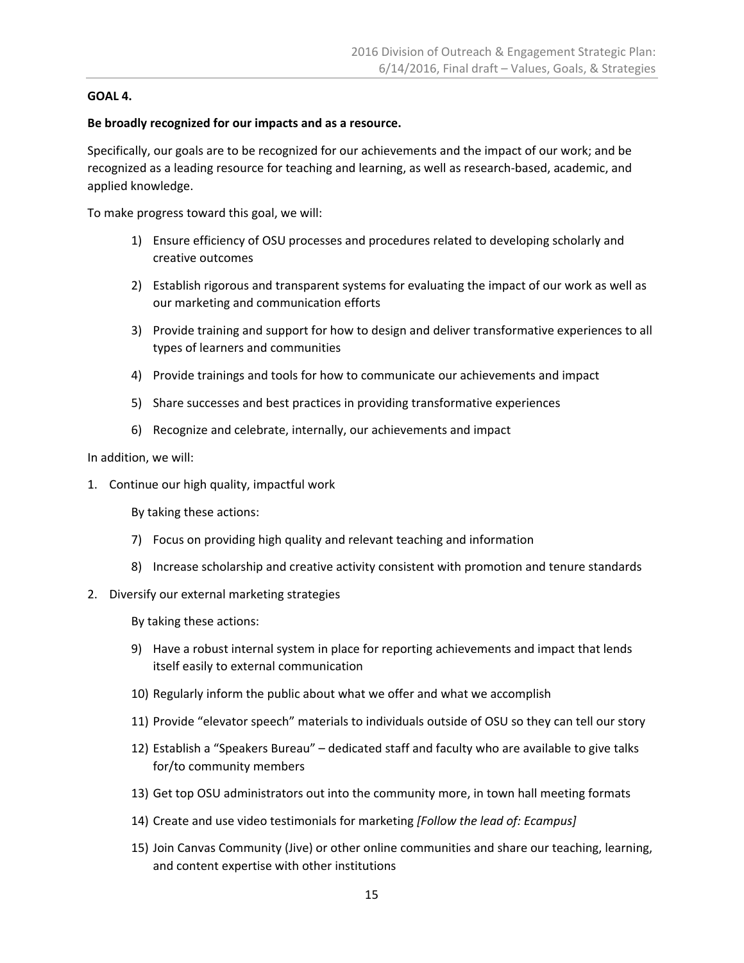#### **GOAL 4.**

#### **Be broadly recognized for our impacts and as a resource.**

Specifically, our goals are to be recognized for our achievements and the impact of our work; and be recognized as a leading resource for teaching and learning, as well as research‐based, academic, and applied knowledge.

To make progress toward this goal, we will:

- 1) Ensure efficiency of OSU processes and procedures related to developing scholarly and creative outcomes
- 2) Establish rigorous and transparent systems for evaluating the impact of our work as well as our marketing and communication efforts
- 3) Provide training and support for how to design and deliver transformative experiences to all types of learners and communities
- 4) Provide trainings and tools for how to communicate our achievements and impact
- 5) Share successes and best practices in providing transformative experiences
- 6) Recognize and celebrate, internally, our achievements and impact

#### In addition, we will:

1. Continue our high quality, impactful work

- 7) Focus on providing high quality and relevant teaching and information
- 8) Increase scholarship and creative activity consistent with promotion and tenure standards
- 2. Diversify our external marketing strategies
	- By taking these actions:
	- 9) Have a robust internal system in place for reporting achievements and impact that lends itself easily to external communication
	- 10) Regularly inform the public about what we offer and what we accomplish
	- 11) Provide "elevator speech" materials to individuals outside of OSU so they can tell our story
	- 12) Establish a "Speakers Bureau" dedicated staff and faculty who are available to give talks for/to community members
	- 13) Get top OSU administrators out into the community more, in town hall meeting formats
	- 14) Create and use video testimonials for marketing *[Follow the lead of: Ecampus]*
	- 15) Join Canvas Community (Jive) or other online communities and share our teaching, learning, and content expertise with other institutions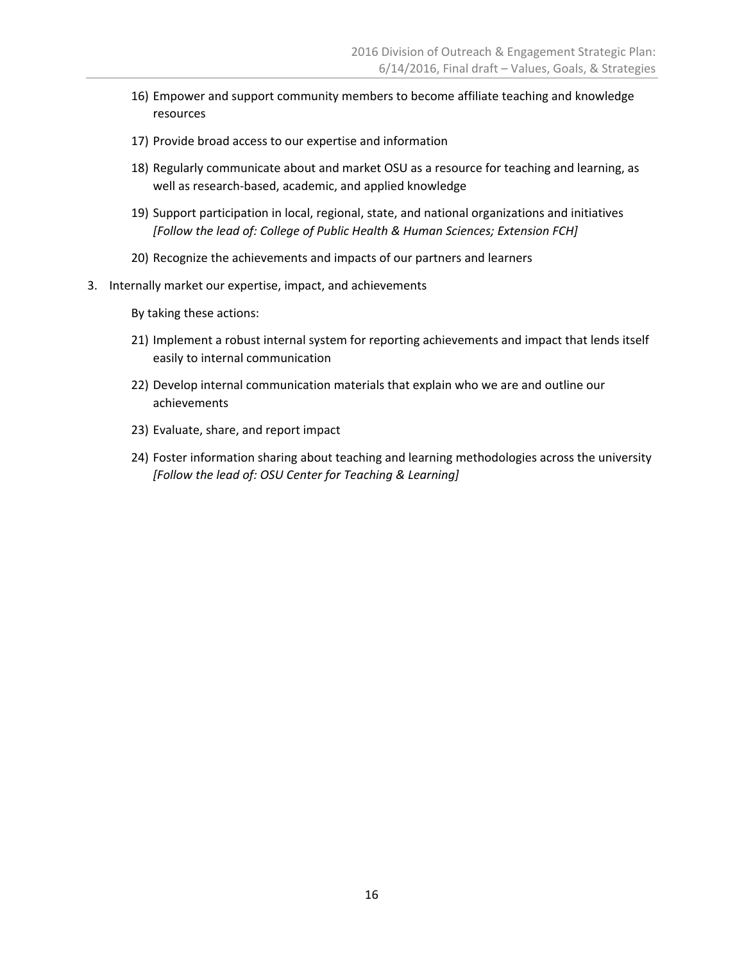- 16) Empower and support community members to become affiliate teaching and knowledge resources
- 17) Provide broad access to our expertise and information
- 18) Regularly communicate about and market OSU as a resource for teaching and learning, as well as research‐based, academic, and applied knowledge
- 19) Support participation in local, regional, state, and national organizations and initiatives *[Follow the lead of: College of Public Health & Human Sciences; Extension FCH]*
- 20) Recognize the achievements and impacts of our partners and learners
- 3. Internally market our expertise, impact, and achievements

- 21) Implement a robust internal system for reporting achievements and impact that lends itself easily to internal communication
- 22) Develop internal communication materials that explain who we are and outline our achievements
- 23) Evaluate, share, and report impact
- 24) Foster information sharing about teaching and learning methodologies across the university *[Follow the lead of: OSU Center for Teaching & Learning]*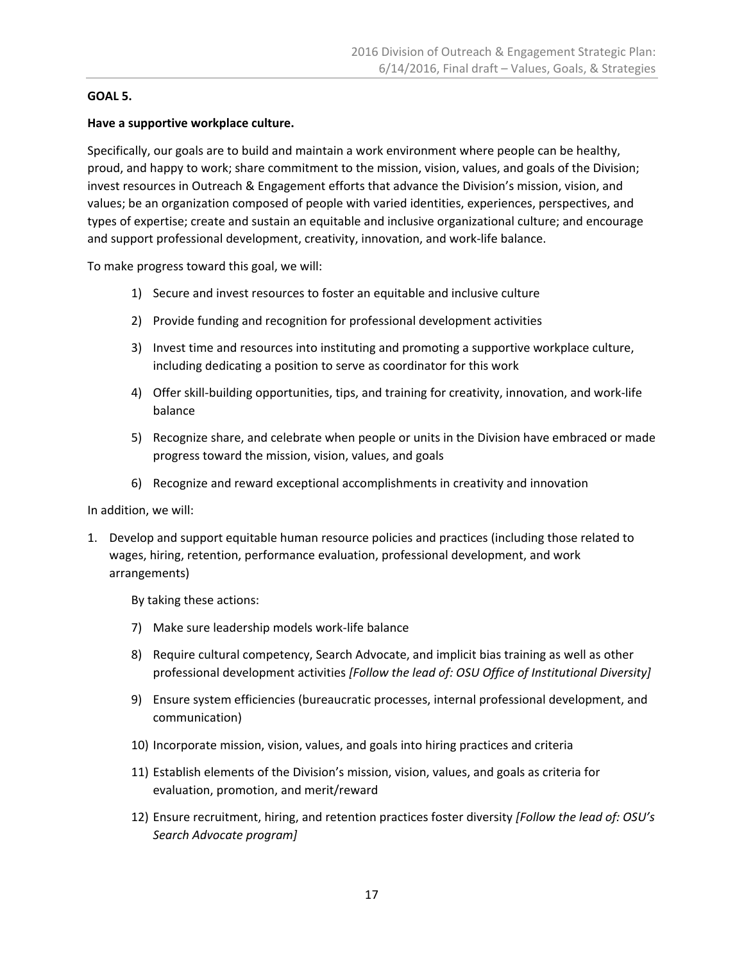#### **GOAL 5.**

#### **Have a supportive workplace culture.**

Specifically, our goals are to build and maintain a work environment where people can be healthy, proud, and happy to work; share commitment to the mission, vision, values, and goals of the Division; invest resources in Outreach & Engagement efforts that advance the Division's mission, vision, and values; be an organization composed of people with varied identities, experiences, perspectives, and types of expertise; create and sustain an equitable and inclusive organizational culture; and encourage and support professional development, creativity, innovation, and work‐life balance.

To make progress toward this goal, we will:

- 1) Secure and invest resources to foster an equitable and inclusive culture
- 2) Provide funding and recognition for professional development activities
- 3) Invest time and resources into instituting and promoting a supportive workplace culture, including dedicating a position to serve as coordinator for this work
- 4) Offer skill-building opportunities, tips, and training for creativity, innovation, and work-life balance
- 5) Recognize share, and celebrate when people or units in the Division have embraced or made progress toward the mission, vision, values, and goals
- 6) Recognize and reward exceptional accomplishments in creativity and innovation

In addition, we will:

1. Develop and support equitable human resource policies and practices (including those related to wages, hiring, retention, performance evaluation, professional development, and work arrangements)

- 7) Make sure leadership models work‐life balance
- 8) Require cultural competency, Search Advocate, and implicit bias training as well as other professional development activities *[Follow the lead of: OSU Office of Institutional Diversity]*
- 9) Ensure system efficiencies (bureaucratic processes, internal professional development, and communication)
- 10) Incorporate mission, vision, values, and goals into hiring practices and criteria
- 11) Establish elements of the Division's mission, vision, values, and goals as criteria for evaluation, promotion, and merit/reward
- 12) Ensure recruitment, hiring, and retention practices foster diversity *[Follow the lead of: OSU's Search Advocate program]*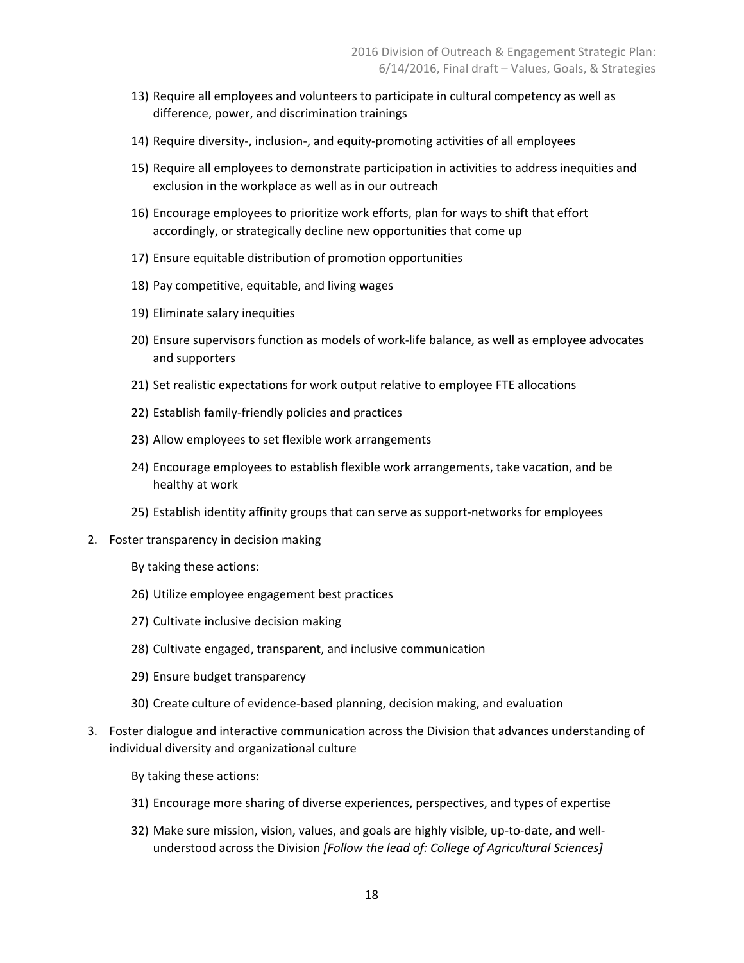- 13) Require all employees and volunteers to participate in cultural competency as well as difference, power, and discrimination trainings
- 14) Require diversity-, inclusion-, and equity-promoting activities of all employees
- 15) Require all employees to demonstrate participation in activities to address inequities and exclusion in the workplace as well as in our outreach
- 16) Encourage employees to prioritize work efforts, plan for ways to shift that effort accordingly, or strategically decline new opportunities that come up
- 17) Ensure equitable distribution of promotion opportunities
- 18) Pay competitive, equitable, and living wages
- 19) Eliminate salary inequities
- 20) Ensure supervisors function as models of work‐life balance, as well as employee advocates and supporters
- 21) Set realistic expectations for work output relative to employee FTE allocations
- 22) Establish family‐friendly policies and practices
- 23) Allow employees to set flexible work arrangements
- 24) Encourage employees to establish flexible work arrangements, take vacation, and be healthy at work
- 25) Establish identity affinity groups that can serve as support‐networks for employees
- 2. Foster transparency in decision making
	- By taking these actions:
	- 26) Utilize employee engagement best practices
	- 27) Cultivate inclusive decision making
	- 28) Cultivate engaged, transparent, and inclusive communication
	- 29) Ensure budget transparency
	- 30) Create culture of evidence‐based planning, decision making, and evaluation
- 3. Foster dialogue and interactive communication across the Division that advances understanding of individual diversity and organizational culture
	- By taking these actions:
	- 31) Encourage more sharing of diverse experiences, perspectives, and types of expertise
	- 32) Make sure mission, vision, values, and goals are highly visible, up‐to‐date, and well‐ understood across the Division *[Follow the lead of: College of Agricultural Sciences]*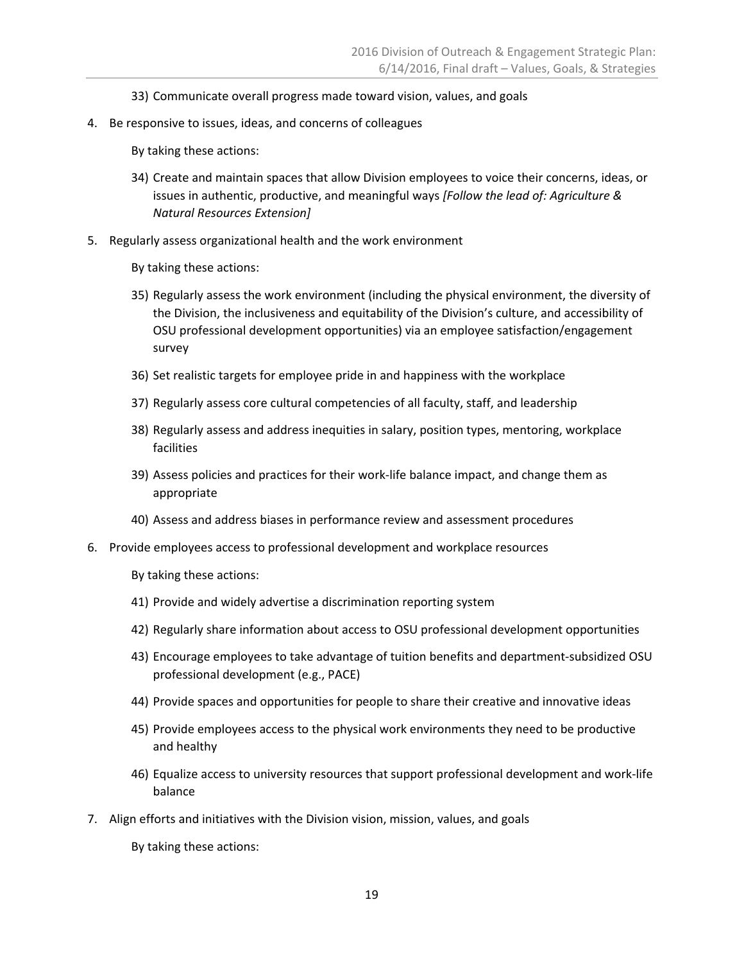- 33) Communicate overall progress made toward vision, values, and goals
- 4. Be responsive to issues, ideas, and concerns of colleagues

- 34) Create and maintain spaces that allow Division employees to voice their concerns, ideas, or issues in authentic, productive, and meaningful ways *[Follow the lead of: Agriculture & Natural Resources Extension]*
- 5. Regularly assess organizational health and the work environment
	- By taking these actions:
	- 35) Regularly assess the work environment (including the physical environment, the diversity of the Division, the inclusiveness and equitability of the Division's culture, and accessibility of OSU professional development opportunities) via an employee satisfaction/engagement survey
	- 36) Set realistic targets for employee pride in and happiness with the workplace
	- 37) Regularly assess core cultural competencies of all faculty, staff, and leadership
	- 38) Regularly assess and address inequities in salary, position types, mentoring, workplace facilities
	- 39) Assess policies and practices for their work‐life balance impact, and change them as appropriate
	- 40) Assess and address biases in performance review and assessment procedures
- 6. Provide employees access to professional development and workplace resources

By taking these actions:

- 41) Provide and widely advertise a discrimination reporting system
- 42) Regularly share information about access to OSU professional development opportunities
- 43) Encourage employees to take advantage of tuition benefits and department‐subsidized OSU professional development (e.g., PACE)
- 44) Provide spaces and opportunities for people to share their creative and innovative ideas
- 45) Provide employees access to the physical work environments they need to be productive and healthy
- 46) Equalize access to university resources that support professional development and work‐life balance
- 7. Align efforts and initiatives with the Division vision, mission, values, and goals